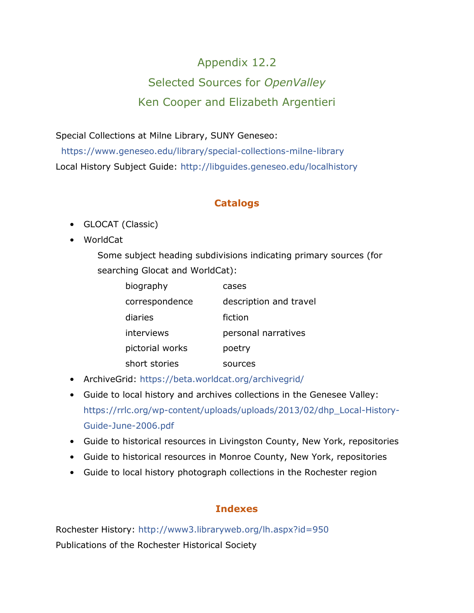# Appendix 12.2 Selected Sources for *OpenValley* Ken Cooper and Elizabeth Argentieri

Special Collections at Milne Library, SUNY Geneseo:

<https://www.geneseo.edu/library/special-collections-milne-library> Local History Subject Guide:<http://libguides.geneseo.edu/localhistory>

## **Catalogs**

- GLOCAT (Classic)
- WorldCat

Some subject heading subdivisions indicating primary sources (for searching Glocat and WorldCat):

| biography       | cases                  |
|-----------------|------------------------|
| correspondence  | description and travel |
| diaries         | fiction                |
| interviews      | personal narratives    |
| pictorial works | poetry                 |
| short stories   | sources                |

- ArchiveGrid:<https://beta.worldcat.org/archivegrid/>
- Guide to local history and archives collections in the Genesee Valley: [https://rrlc.org/wp-content/uploads/uploads/2013/02/dhp\\_Local-History-](https://rrlc.org/wp-content/uploads/uploads/2013/02/dhp_Local-History-Guide-June-2006.pdf)[Guide-June-2006.pdf](https://rrlc.org/wp-content/uploads/uploads/2013/02/dhp_Local-History-Guide-June-2006.pdf)
- Guide to historical resources in Livingston County, New York, repositories
- Guide to historical resources in Monroe County, New York, repositories
- Guide to local history photograph collections in the Rochester region

## **Indexes**

Rochester History:<http://www3.libraryweb.org/lh.aspx?id=950> Publications of the Rochester Historical Society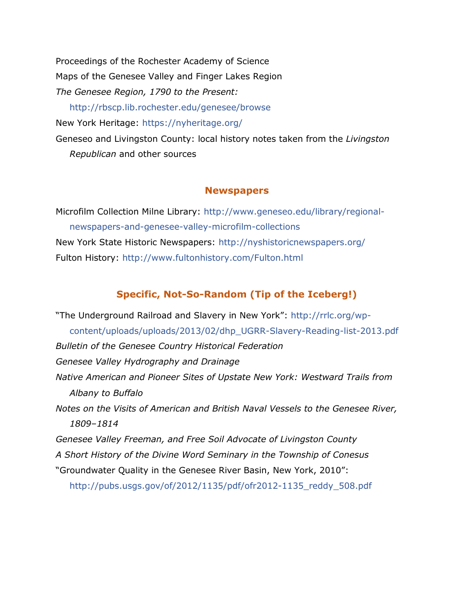Proceedings of the Rochester Academy of Science Maps of the Genesee Valley and Finger Lakes Region *The Genesee Region, 1790 to the Present:* <http://rbscp.lib.rochester.edu/genesee/browse> New York Heritage:<https://nyheritage.org/> Geneseo and Livingston County: local history notes taken from the *Livingston Republican* and other sources

#### **Newspapers**

Microfilm Collection Milne Library: [http://www.geneseo.edu/library/regional](http://www.geneseo.edu/library/regional-newspapers-and-genesee-valley-microfilm-collections)[newspapers-and-genesee-valley-microfilm-collections](http://www.geneseo.edu/library/regional-newspapers-and-genesee-valley-microfilm-collections) New York State Historic Newspapers:<http://nyshistoricnewspapers.org/> Fulton History:<http://www.fultonhistory.com/Fulton.html>

#### **Specific, Not-So-Random (Tip of the Iceberg!)**

"The Underground Railroad and Slavery in New York": [http://rrlc.org/wp](http://rrlc.org/wp-content/uploads/uploads/2013/02/dhp_UGRR-Slavery-Reading-list-2013.pdf)[content/uploads/uploads/2013/02/dhp\\_UGRR-Slavery-Reading-list-2013.pdf](http://rrlc.org/wp-content/uploads/uploads/2013/02/dhp_UGRR-Slavery-Reading-list-2013.pdf) *Bulletin of the Genesee Country Historical Federation Genesee Valley Hydrography and Drainage Native American and Pioneer Sites of Upstate New York: Westward Trails from Albany to Buffalo Notes on the Visits of American and British Naval Vessels to the Genesee River, 1809–1814 Genesee Valley Freeman, and Free Soil Advocate of Livingston County A Short History of the Divine Word Seminary in the Township of Conesus*  "Groundwater Quality in the Genesee River Basin, New York, 2010": [http://pubs.usgs.gov/of/2012/1135/pdf/ofr2012-1135\\_reddy\\_508.pdf](http://pubs.usgs.gov/of/2012/1135/pdf/ofr2012-1135_reddy_508.pdf)